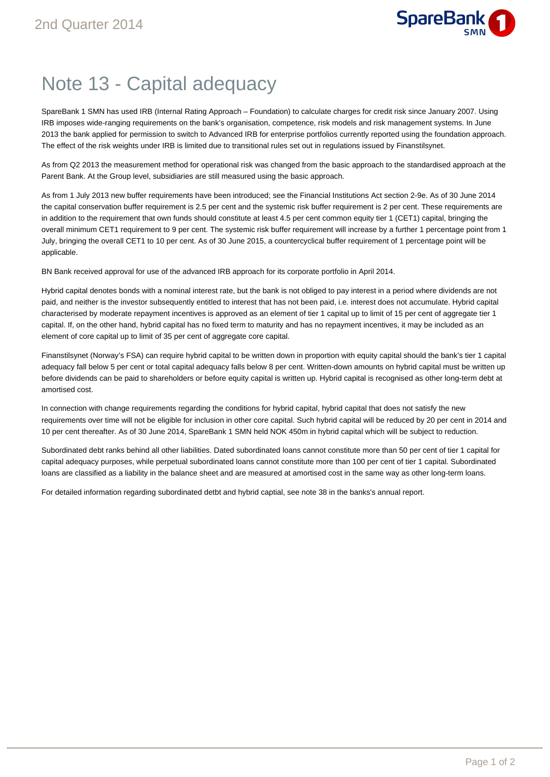

## Note 13 - Capital adequacy

SpareBank 1 SMN has used IRB (Internal Rating Approach – Foundation) to calculate charges for credit risk since January 2007. Using IRB imposes wide-ranging requirements on the bank's organisation, competence, risk models and risk management systems. In June 2013 the bank applied for permission to switch to Advanced IRB for enterprise portfolios currently reported using the foundation approach. The effect of the risk weights under IRB is limited due to transitional rules set out in regulations issued by Finanstilsynet.

As from Q2 2013 the measurement method for operational risk was changed from the basic approach to the standardised approach at the Parent Bank. At the Group level, subsidiaries are still measured using the basic approach.

As from 1 July 2013 new buffer requirements have been introduced; see the Financial Institutions Act section 2-9e. As of 30 June 2014 the capital conservation buffer requirement is 2.5 per cent and the systemic risk buffer requirement is 2 per cent. These requirements are in addition to the requirement that own funds should constitute at least 4.5 per cent common equity tier 1 (CET1) capital, bringing the overall minimum CET1 requirement to 9 per cent. The systemic risk buffer requirement will increase by a further 1 percentage point from 1 July, bringing the overall CET1 to 10 per cent. As of 30 June 2015, a countercyclical buffer requirement of 1 percentage point will be applicable.

BN Bank received approval for use of the advanced IRB approach for its corporate portfolio in April 2014.

Hybrid capital denotes bonds with a nominal interest rate, but the bank is not obliged to pay interest in a period where dividends are not paid, and neither is the investor subsequently entitled to interest that has not been paid, i.e. interest does not accumulate. Hybrid capital characterised by moderate repayment incentives is approved as an element of tier 1 capital up to limit of 15 per cent of aggregate tier 1 capital. If, on the other hand, hybrid capital has no fixed term to maturity and has no repayment incentives, it may be included as an element of core capital up to limit of 35 per cent of aggregate core capital.

Finanstilsynet (Norway's FSA) can require hybrid capital to be written down in proportion with equity capital should the bank's tier 1 capital adequacy fall below 5 per cent or total capital adequacy falls below 8 per cent. Written-down amounts on hybrid capital must be written up before dividends can be paid to shareholders or before equity capital is written up. Hybrid capital is recognised as other long-term debt at amortised cost.

In connection with change requirements regarding the conditions for hybrid capital, hybrid capital that does not satisfy the new requirements over time will not be eligible for inclusion in other core capital. Such hybrid capital will be reduced by 20 per cent in 2014 and 10 per cent thereafter. As of 30 June 2014, SpareBank 1 SMN held NOK 450m in hybrid capital which will be subject to reduction.

Subordinated debt ranks behind all other liabilities. Dated subordinated loans cannot constitute more than 50 per cent of tier 1 capital for capital adequacy purposes, while perpetual subordinated loans cannot constitute more than 100 per cent of tier 1 capital. Subordinated loans are classified as a liability in the balance sheet and are measured at amortised cost in the same way as other long-term loans.

For detailed information regarding subordinated detbt and hybrid captial, see note 38 in the banks's annual report.